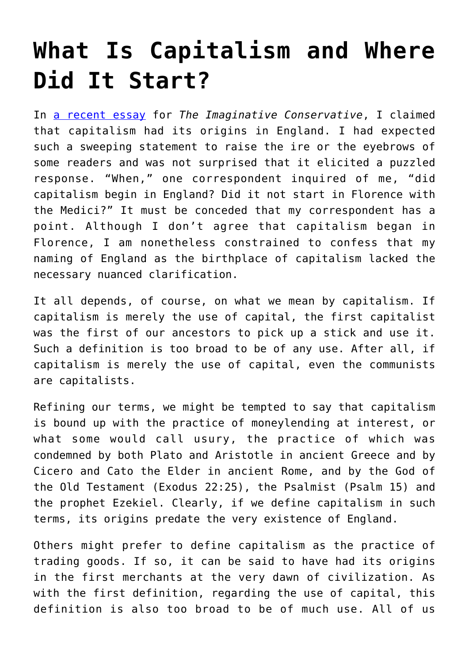## **[What Is Capitalism and Where](https://intellectualtakeout.org/2017/08/what-is-capitalism-and-where-did-it-start/) [Did It Start?](https://intellectualtakeout.org/2017/08/what-is-capitalism-and-where-did-it-start/)**

In [a recent essay](http://www.theimaginativeconservative.org/2017/07/west-progressives-joseph-pearce.html) for *The Imaginative Conservative*, I claimed that capitalism had its origins in England. I had expected such a sweeping statement to raise the ire or the eyebrows of some readers and was not surprised that it elicited a puzzled response. "When," one correspondent inquired of me, "did capitalism begin in England? Did it not start in Florence with the Medici?" It must be conceded that my correspondent has a point. Although I don't agree that capitalism began in Florence, I am nonetheless constrained to confess that my naming of England as the birthplace of capitalism lacked the necessary nuanced clarification.

It all depends, of course, on what we mean by capitalism. If capitalism is merely the use of capital, the first capitalist was the first of our ancestors to pick up a stick and use it. Such a definition is too broad to be of any use. After all, if capitalism is merely the use of capital, even the communists are capitalists.

Refining our terms, we might be tempted to say that capitalism is bound up with the practice of moneylending at interest, or what some would call usury, the practice of which was condemned by both Plato and Aristotle in ancient Greece and by Cicero and Cato the Elder in ancient Rome, and by the God of the Old Testament (Exodus 22:25), the Psalmist (Psalm 15) and the prophet Ezekiel. Clearly, if we define capitalism in such terms, its origins predate the very existence of England.

Others might prefer to define capitalism as the practice of trading goods. If so, it can be said to have had its origins in the first merchants at the very dawn of civilization. As with the first definition, regarding the use of capital, this definition is also too broad to be of much use. All of us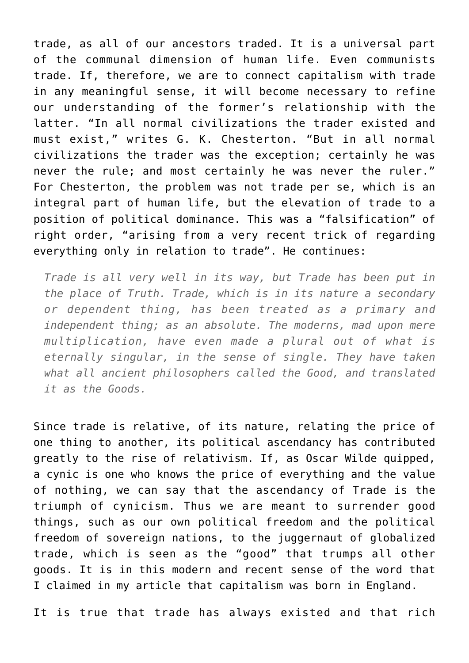trade, as all of our ancestors traded. It is a universal part of the communal dimension of human life. Even communists trade. If, therefore, we are to connect capitalism with trade in any meaningful sense, it will become necessary to refine our understanding of the former's relationship with the latter. "In all normal civilizations the trader existed and must exist," writes G. K. Chesterton. "But in all normal civilizations the trader was the exception; certainly he was never the rule; and most certainly he was never the ruler." For Chesterton, the problem was not trade per se, which is an integral part of human life, but the elevation of trade to a position of political dominance. This was a "falsification" of right order, "arising from a very recent trick of regarding everything only in relation to trade". He continues:

*Trade is all very well in its way, but Trade has been put in the place of Truth. Trade, which is in its nature a secondary or dependent thing, has been treated as a primary and independent thing; as an absolute. The moderns, mad upon mere multiplication, have even made a plural out of what is eternally singular, in the sense of single. They have taken what all ancient philosophers called the Good, and translated it as the Goods.*

Since trade is relative, of its nature, relating the price of one thing to another, its political ascendancy has contributed greatly to the rise of relativism. If, as Oscar Wilde quipped, a cynic is one who knows the price of everything and the value of nothing, we can say that the ascendancy of Trade is the triumph of cynicism. Thus we are meant to surrender good things, such as our own political freedom and the political freedom of sovereign nations, to the juggernaut of globalized trade, which is seen as the "good" that trumps all other goods. It is in this modern and recent sense of the word that I claimed in my article that capitalism was born in England.

It is true that trade has always existed and that rich